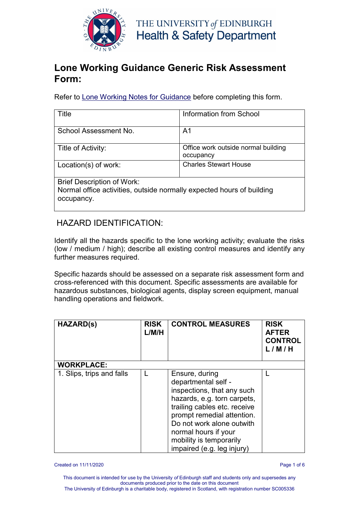

#### **Lone Working Guidance Generic Risk Assessment Form:**

Refer to [Lone Working Notes for Guidance](http://www.docs.csg.ed.ac.uk/Safety/ra/LOOH_notes.pdf) before completing this form.

| Title                                                                                                                    | Information from School                          |
|--------------------------------------------------------------------------------------------------------------------------|--------------------------------------------------|
| School Assessment No.                                                                                                    | A1                                               |
| Title of Activity:                                                                                                       | Office work outside normal building<br>occupancy |
| Location(s) of work:                                                                                                     | <b>Charles Stewart House</b>                     |
| <b>Brief Description of Work:</b><br>Normal office activities, outside normally expected hours of building<br>occupancy. |                                                  |

#### HAZARD IDENTIFICATION:

Identify all the hazards specific to the lone working activity; evaluate the risks (low / medium / high); describe all existing control measures and identify any further measures required.

Specific hazards should be assessed on a separate risk assessment form and cross-referenced with this document. Specific assessments are available for hazardous substances, biological agents, display screen equipment, manual handling operations and fieldwork.

| <b>HAZARD(s)</b>          | <b>RISK</b><br>L/M/H | <b>CONTROL MEASURES</b>                                                                                                                                                                                                                                                        | <b>RISK</b><br><b>AFTER</b><br><b>CONTROL</b><br>L/M/H |
|---------------------------|----------------------|--------------------------------------------------------------------------------------------------------------------------------------------------------------------------------------------------------------------------------------------------------------------------------|--------------------------------------------------------|
| <b>WORKPLACE:</b>         |                      |                                                                                                                                                                                                                                                                                |                                                        |
| 1. Slips, trips and falls |                      | Ensure, during<br>departmental self -<br>inspections, that any such<br>hazards, e.g. torn carpets,<br>trailing cables etc. receive<br>prompt remedial attention.<br>Do not work alone outwith<br>normal hours if your<br>mobility is temporarily<br>impaired (e.g. leg injury) |                                                        |

Created on 11/11/2020 Page 1 of 6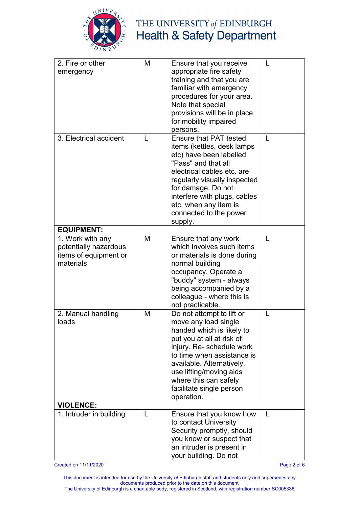

# THE UNIVERSITY of EDINBURGH<br>Health & Safety Department

| 2. Fire or other        | M | Ensure that you receive                            | L            |
|-------------------------|---|----------------------------------------------------|--------------|
| emergency               |   | appropriate fire safety                            |              |
|                         |   | training and that you are                          |              |
|                         |   | familiar with emergency                            |              |
|                         |   | procedures for your area.                          |              |
|                         |   | Note that special                                  |              |
|                         |   | provisions will be in place                        |              |
|                         |   | for mobility impaired                              |              |
|                         |   | persons.                                           |              |
| 3. Electrical accident  | L | <b>Ensure that PAT tested</b>                      | $\mathbf{I}$ |
|                         |   | items (kettles, desk lamps                         |              |
|                         |   | etc) have been labelled                            |              |
|                         |   | "Pass" and that all                                |              |
|                         |   | electrical cables etc. are                         |              |
|                         |   |                                                    |              |
|                         |   | regularly visually inspected<br>for damage. Do not |              |
|                         |   |                                                    |              |
|                         |   | interfere with plugs, cables                       |              |
|                         |   | etc, when any item is                              |              |
|                         |   | connected to the power                             |              |
|                         |   | supply.                                            |              |
| <b>EQUIPMENT:</b>       |   |                                                    |              |
| 1. Work with any        | M | Ensure that any work                               | L            |
| potentially hazardous   |   | which involves such items                          |              |
| items of equipment or   |   | or materials is done during                        |              |
| materials               |   | normal building                                    |              |
|                         |   | occupancy. Operate a                               |              |
|                         |   | "buddy" system - always                            |              |
|                         |   | being accompanied by a                             |              |
|                         |   | colleague - where this is                          |              |
|                         |   | not practicable.                                   |              |
| 2. Manual handling      | M | Do not attempt to lift or                          | $\mathbf{I}$ |
| loads                   |   | move any load single                               |              |
|                         |   | handed which is likely to                          |              |
|                         |   | put you at all at risk of                          |              |
|                         |   | injury. Re- schedule work                          |              |
|                         |   | to time when assistance is                         |              |
|                         |   | available. Alternatively,                          |              |
|                         |   | use lifting/moving aids                            |              |
|                         |   | where this can safely                              |              |
|                         |   | facilitate single person                           |              |
|                         |   | operation.                                         |              |
| <b>VIOLENCE:</b>        |   |                                                    |              |
| 1. Intruder in building | L | Ensure that you know how                           | $\mathsf{L}$ |
|                         |   | to contact University                              |              |
|                         |   | Security promptly, should                          |              |
|                         |   | you know or suspect that                           |              |
|                         |   | an intruder is present in                          |              |
|                         |   | your building. Do not                              |              |

Created on 11/11/2020 Page 2 of 6

This document is intended for use by the University *of* Edinburgh staff and students only and supersedes any documents produced prior to the date on this document The University of Edinburgh is a charitable body, registered in Scotland, with registration number SC005336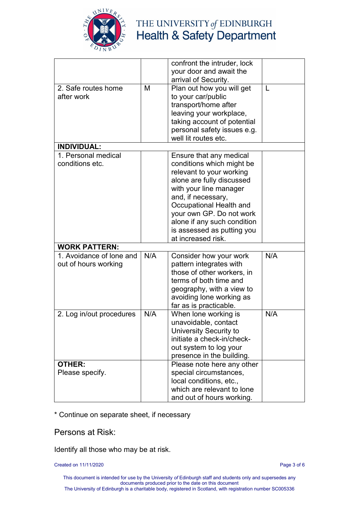

## THE UNIVERSITY of EDINBURGH **Health & Safety Department**

|                          |     | confront the intruder, lock |     |
|--------------------------|-----|-----------------------------|-----|
|                          |     | your door and await the     |     |
|                          |     | arrival of Security.        |     |
| 2. Safe routes home      | M   | Plan out how you will get   | L   |
| after work               |     | to your car/public          |     |
|                          |     | transport/home after        |     |
|                          |     | leaving your workplace,     |     |
|                          |     | taking account of potential |     |
|                          |     | personal safety issues e.g. |     |
|                          |     | well lit routes etc.        |     |
| <b>INDIVIDUAL:</b>       |     |                             |     |
| 1. Personal medical      |     | Ensure that any medical     |     |
| conditions etc.          |     | conditions which might be   |     |
|                          |     | relevant to your working    |     |
|                          |     | alone are fully discussed   |     |
|                          |     | with your line manager      |     |
|                          |     | and, if necessary,          |     |
|                          |     | Occupational Health and     |     |
|                          |     | your own GP. Do not work    |     |
|                          |     | alone if any such condition |     |
|                          |     | is assessed as putting you  |     |
|                          |     | at increased risk.          |     |
| <b>WORK PATTERN:</b>     |     |                             |     |
| 1. Avoidance of lone and | N/A | Consider how your work      | N/A |
| out of hours working     |     | pattern integrates with     |     |
|                          |     | those of other workers, in  |     |
|                          |     | terms of both time and      |     |
|                          |     | geography, with a view to   |     |
|                          |     | avoiding lone working as    |     |
|                          |     | far as is practicable.      |     |
| 2. Log in/out procedures | N/A | When lone working is        | N/A |
|                          |     | unavoidable, contact        |     |
|                          |     | University Security to      |     |
|                          |     | initiate a check-in/check-  |     |
|                          |     | out system to log your      |     |
|                          |     | presence in the building.   |     |
| <b>OTHER:</b>            |     | Please note here any other  |     |
| Please specify.          |     | special circumstances,      |     |
|                          |     | local conditions, etc.,     |     |
|                          |     | which are relevant to lone  |     |
|                          |     | and out of hours working.   |     |

\* Continue on separate sheet, if necessary

Persons at Risk:

Identify all those who may be at risk.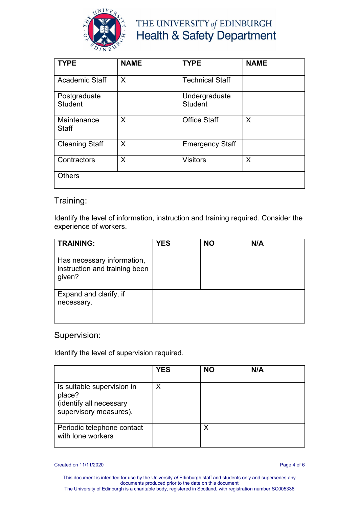

### THE UNIVERSITY of EDINBURGH **Health & Safety Department**

| <b>TYPE</b>                    | <b>NAME</b> | <b>TYPE</b>                     | <b>NAME</b> |
|--------------------------------|-------------|---------------------------------|-------------|
| <b>Academic Staff</b>          | X           | <b>Technical Staff</b>          |             |
| Postgraduate<br><b>Student</b> |             | Undergraduate<br><b>Student</b> |             |
| Maintenance<br><b>Staff</b>    | X           | <b>Office Staff</b>             | X           |
| <b>Cleaning Staff</b>          | X           | <b>Emergency Staff</b>          |             |
| Contractors                    | X           | <b>Visitors</b>                 | X           |
| <b>Others</b>                  |             |                                 |             |

#### Training:

Identify the level of information, instruction and training required. Consider the experience of workers.

| <b>TRAINING:</b>                                                      | <b>YES</b> | <b>NO</b> | N/A |
|-----------------------------------------------------------------------|------------|-----------|-----|
| Has necessary information,<br>instruction and training been<br>given? |            |           |     |
| Expand and clarify, if<br>necessary.                                  |            |           |     |

#### Supervision:

Identify the level of supervision required.

|                                                                                           | <b>YES</b> | <b>NO</b> | N/A |
|-------------------------------------------------------------------------------------------|------------|-----------|-----|
| Is suitable supervision in<br>place?<br>(identify all necessary<br>supervisory measures). | Χ          |           |     |
| Periodic telephone contact<br>with lone workers                                           |            |           |     |

Created on 11/11/2020 Page 4 of 6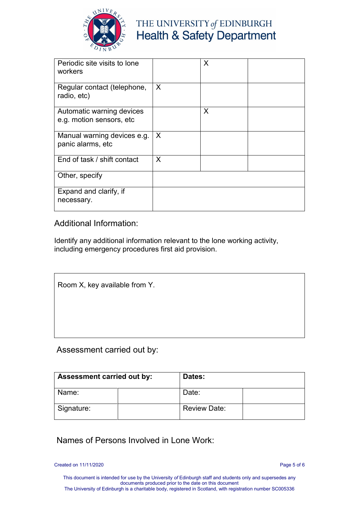

## THE UNIVERSITY of EDINBURGH **Health & Safety Department**

| Periodic site visits to lone<br>workers               |                           | X |  |
|-------------------------------------------------------|---------------------------|---|--|
| Regular contact (telephone,<br>radio, etc)            | $\boldsymbol{\mathsf{X}}$ |   |  |
| Automatic warning devices<br>e.g. motion sensors, etc |                           | X |  |
| Manual warning devices e.g.<br>panic alarms, etc      | $\times$                  |   |  |
| End of task / shift contact                           | X                         |   |  |
| Other, specify                                        |                           |   |  |
| Expand and clarify, if<br>necessary.                  |                           |   |  |

Additional Information:

Identify any additional information relevant to the lone working activity, including emergency procedures first aid provision.

Room X, key available from Y.

Assessment carried out by:

| <b>Assessment carried out by:</b> | Dates:              |  |
|-----------------------------------|---------------------|--|
| Name:                             | Date:               |  |
| Signature:                        | <b>Review Date:</b> |  |

Names of Persons Involved in Lone Work:

Created on 11/11/2020 Page 5 of 6